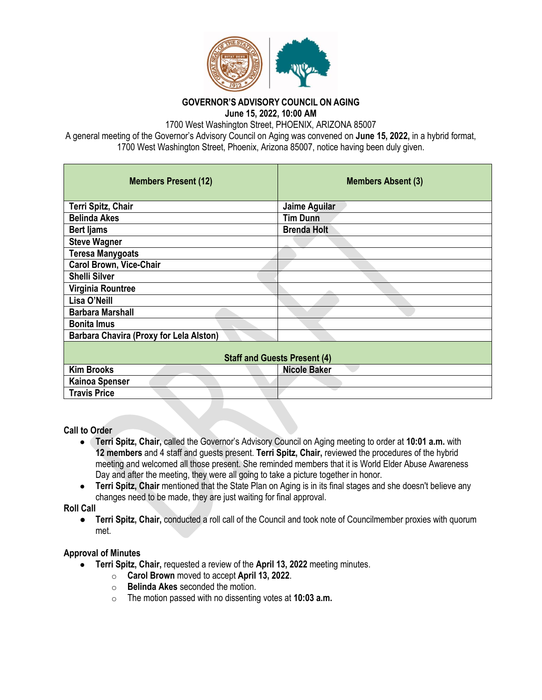

**GOVERNOR'S ADVISORY COUNCIL ON AGING June 15, 2022, 10:00 AM**

1700 West Washington Street, PHOENIX, ARIZONA 85007

A general meeting of the Governor's Advisory Council on Aging was convened on **June 15, 2022,** in a hybrid format, 1700 West Washington Street, Phoenix, Arizona 85007, notice having been duly given.

| <b>Members Present (12)</b>                    | <b>Members Absent (3)</b> |
|------------------------------------------------|---------------------------|
| Terri Spitz, Chair                             | Jaime Aguilar             |
| <b>Belinda Akes</b>                            | <b>Tim Dunn</b>           |
| <b>Bert ljams</b>                              | <b>Brenda Holt</b>        |
| <b>Steve Wagner</b>                            |                           |
| <b>Teresa Manygoats</b>                        |                           |
| <b>Carol Brown, Vice-Chair</b>                 |                           |
| <b>Shelli Silver</b>                           |                           |
| Virginia Rountree                              |                           |
| Lisa O'Neill                                   |                           |
| <b>Barbara Marshall</b>                        |                           |
| <b>Bonita Imus</b>                             |                           |
| <b>Barbara Chavira (Proxy for Lela Alston)</b> |                           |
| <b>Staff and Guests Present (4)</b>            |                           |
| <b>Kim Brooks</b>                              | <b>Nicole Baker</b>       |
| <b>Kainoa Spenser</b>                          |                           |
| <b>Travis Price</b>                            |                           |

### **Call to Order**

- **Terri Spitz, Chair,** called the Governor's Advisory Council on Aging meeting to order at **10:01 a.m.** with **12 members** and 4 staff and guests present. **Terri Spitz, Chair,** reviewed the procedures of the hybrid meeting and welcomed all those present. She reminded members that it is World Elder Abuse Awareness Day and after the meeting, they were all going to take a picture together in honor.
- **Terri Spitz, Chair** mentioned that the State Plan on Aging is in its final stages and she doesn't believe any changes need to be made, they are just waiting for final approval.

**Roll Call**

● **Terri Spitz, Chair,** conducted a roll call of the Council and took note of Councilmember proxies with quorum met.

### **Approval of Minutes**

- **Terri Spitz, Chair,** requested a review of the **April 13, 2022** meeting minutes.
	- o **Carol Brown** moved to accept **April 13, 2022**.
	- o **Belinda Akes** seconded the motion.
	- o The motion passed with no dissenting votes at **10:03 a.m.**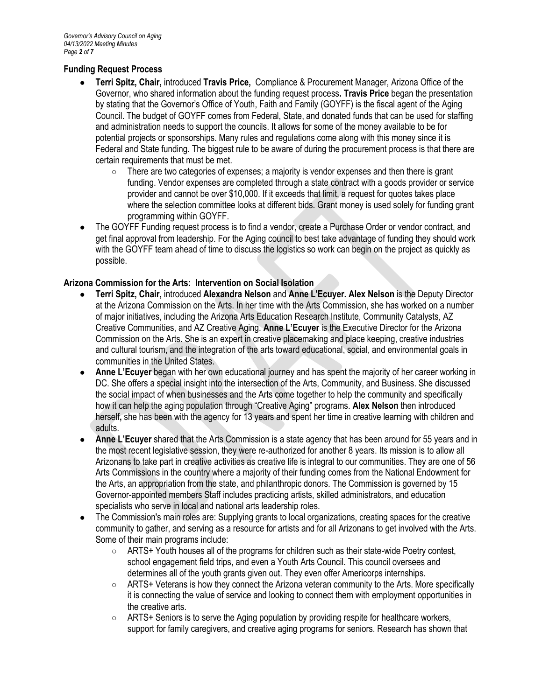# **Funding Request Process**

- **Terri Spitz, Chair,** introduced **Travis Price,** Compliance & Procurement Manager, Arizona Office of the Governor, who shared information about the funding request process**. Travis Price** began the presentation by stating that the Governor's Office of Youth, Faith and Family (GOYFF) is the fiscal agent of the Aging Council. The budget of GOYFF comes from Federal, State, and donated funds that can be used for staffing and administration needs to support the councils. It allows for some of the money available to be for potential projects or sponsorships. Many rules and regulations come along with this money since it is Federal and State funding. The biggest rule to be aware of during the procurement process is that there are certain requirements that must be met.
	- There are two categories of expenses; a majority is vendor expenses and then there is grant funding. Vendor expenses are completed through a state contract with a goods provider or service provider and cannot be over \$10,000. If it exceeds that limit, a request for quotes takes place where the selection committee looks at different bids. Grant money is used solely for funding grant programming within GOYFF.
- The GOYFF Funding request process is to find a vendor, create a Purchase Order or vendor contract, and get final approval from leadership. For the Aging council to best take advantage of funding they should work with the GOYFF team ahead of time to discuss the logistics so work can begin on the project as quickly as possible.

# **Arizona Commission for the Arts: Intervention on Social Isolation**

- **Terri Spitz, Chair,** introduced **Alexandra Nelson** and **Anne L'Ecuyer. Alex Nelson** is the Deputy Director at the Arizona Commission on the Arts. In her time with the Arts Commission, she has worked on a number of major initiatives, including the Arizona Arts Education Research Institute, Community Catalysts, AZ Creative Communities, and AZ Creative Aging. **Anne L'Ecuyer** is the Executive Director for the Arizona Commission on the Arts. She is an expert in creative placemaking and place keeping, creative industries and cultural tourism, and the integration of the arts toward educational, social, and environmental goals in communities in the United States.
- Anne L'Ecuyer began with her own educational journey and has spent the majority of her career working in DC. She offers a special insight into the intersection of the Arts, Community, and Business. She discussed the social impact of when businesses and the Arts come together to help the community and specifically how it can help the aging population through "Creative Aging" programs. **Alex Nelson** then introduced herself**,** she has been with the agency for 13 years and spent her time in creative learning with children and adults.
- **Anne L'Ecuyer** shared that the Arts Commission is a state agency that has been around for 55 years and in the most recent legislative session, they were re-authorized for another 8 years. Its mission is to allow all Arizonans to take part in creative activities as creative life is integral to our communities. They are one of 56 Arts Commissions in the country where a majority of their funding comes from the National Endowment for the Arts, an appropriation from the state, and philanthropic donors. The Commission is governed by 15 Governor-appointed members Staff includes practicing artists, skilled administrators, and education specialists who serve in local and national arts leadership roles.
- The Commission's main roles are: Supplying grants to local organizations, creating spaces for the creative community to gather, and serving as a resource for artists and for all Arizonans to get involved with the Arts. Some of their main programs include:
	- ARTS+ Youth houses all of the programs for children such as their state-wide Poetry contest, school engagement field trips, and even a Youth Arts Council. This council oversees and determines all of the youth grants given out. They even offer Americorps internships.
	- ARTS+ Veterans is how they connect the Arizona veteran community to the Arts. More specifically it is connecting the value of service and looking to connect them with employment opportunities in the creative arts.
	- ARTS+ Seniors is to serve the Aging population by providing respite for healthcare workers, support for family caregivers, and creative aging programs for seniors. Research has shown that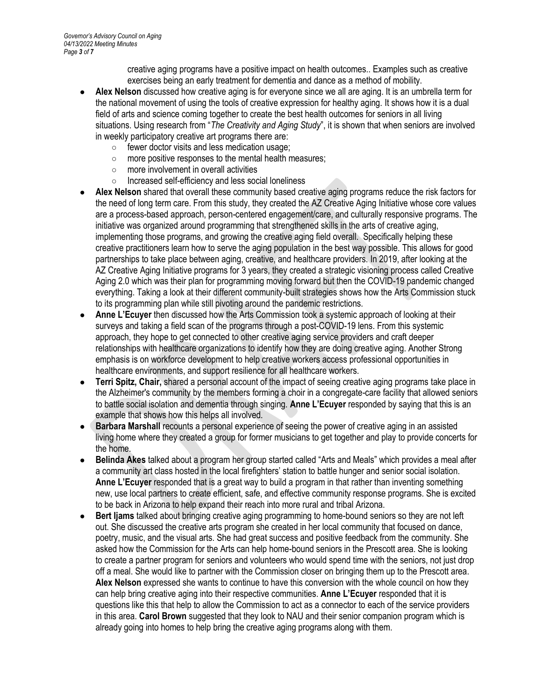creative aging programs have a positive impact on health outcomes.. Examples such as creative exercises being an early treatment for dementia and dance as a method of mobility.

- Alex Nelson discussed how creative aging is for everyone since we all are aging. It is an umbrella term for the national movement of using the tools of creative expression for healthy aging. It shows how it is a dual field of arts and science coming together to create the best health outcomes for seniors in all living situations. Using research from "*The Creativity and Aging Study*", it is shown that when seniors are involved in weekly participatory creative art programs there are:
	- fewer doctor visits and less medication usage;
	- more positive responses to the mental health measures;
	- more involvement in overall activities
	- Increased self-efficiency and less social loneliness
- Alex Nelson shared that overall these community based creative aging programs reduce the risk factors for the need of long term care. From this study, they created the AZ Creative Aging Initiative whose core values are a process-based approach, person-centered engagement/care, and culturally responsive programs. The initiative was organized around programming that strengthened skills in the arts of creative aging, implementing those programs, and growing the creative aging field overall. Specifically helping these creative practitioners learn how to serve the aging population in the best way possible. This allows for good partnerships to take place between aging, creative, and healthcare providers. In 2019, after looking at the AZ Creative Aging Initiative programs for 3 years, they created a strategic visioning process called Creative Aging 2.0 which was their plan for programming moving forward but then the COVID-19 pandemic changed everything. Taking a look at their different community-built strategies shows how the Arts Commission stuck to its programming plan while still pivoting around the pandemic restrictions.
- **Anne L'Ecuyer** then discussed how the Arts Commission took a systemic approach of looking at their surveys and taking a field scan of the programs through a post-COVID-19 lens. From this systemic approach, they hope to get connected to other creative aging service providers and craft deeper relationships with healthcare organizations to identify how they are doing creative aging. Another Strong emphasis is on workforce development to help creative workers access professional opportunities in healthcare environments, and support resilience for all healthcare workers.
- **Terri Spitz, Chair, shared a personal account of the impact of seeing creative aging programs take place in** the Alzheimer's community by the members forming a choir in a congregate-care facility that allowed seniors to battle social isolation and dementia through singing. **Anne L'Ecuyer** responded by saying that this is an example that shows how this helps all involved.
- **Barbara Marshall recounts a personal experience of seeing the power of creative aging in an assisted** living home where they created a group for former musicians to get together and play to provide concerts for the home.
- **Belinda Akes** talked about a program her group started called "Arts and Meals" which provides a meal after a community art class hosted in the local firefighters' station to battle hunger and senior social isolation. **Anne L'Ecuyer** responded that is a great way to build a program in that rather than inventing something new, use local partners to create efficient, safe, and effective community response programs. She is excited to be back in Arizona to help expand their reach into more rural and tribal Arizona.
- **Bert liams** talked about bringing creative aging programming to home-bound seniors so they are not left out. She discussed the creative arts program she created in her local community that focused on dance, poetry, music, and the visual arts. She had great success and positive feedback from the community. She asked how the Commission for the Arts can help home-bound seniors in the Prescott area. She is looking to create a partner program for seniors and volunteers who would spend time with the seniors, not just drop off a meal. She would like to partner with the Commission closer on bringing them up to the Prescott area. **Alex Nelson** expressed she wants to continue to have this conversion with the whole council on how they can help bring creative aging into their respective communities. **Anne L'Ecuyer** responded that it is questions like this that help to allow the Commission to act as a connector to each of the service providers in this area. **Carol Brown** suggested that they look to NAU and their senior companion program which is already going into homes to help bring the creative aging programs along with them.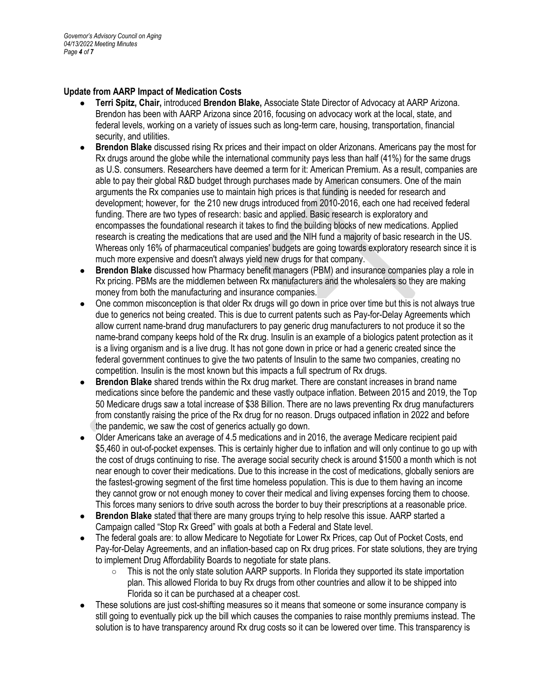### **Update from AARP Impact of Medication Costs**

- **Terri Spitz, Chair,** introduced **Brendon Blake,** Associate State Director of Advocacy at AARP Arizona. Brendon has been with AARP Arizona since 2016, focusing on advocacy work at the local, state, and federal levels, working on a variety of issues such as long-term care, housing, transportation, financial security, and utilities.
- **Brendon Blake** discussed rising Rx prices and their impact on older Arizonans. Americans pay the most for Rx drugs around the globe while the international community pays less than half (41%) for the same drugs as U.S. consumers. Researchers have deemed a term for it: American Premium. As a result, companies are able to pay their global R&D budget through purchases made by American consumers. One of the main arguments the Rx companies use to maintain high prices is that funding is needed for research and development; however, for the 210 new drugs introduced from 2010-2016, each one had received federal funding. There are two types of research: basic and applied. Basic research is exploratory and encompasses the foundational research it takes to find the building blocks of new medications. Applied research is creating the medications that are used and the NIH fund a majority of basic research in the US. Whereas only 16% of pharmaceutical companies' budgets are going towards exploratory research since it is much more expensive and doesn't always yield new drugs for that company.
- **Brendon Blake** discussed how Pharmacy benefit managers (PBM) and insurance companies play a role in Rx pricing. PBMs are the middlemen between Rx manufacturers and the wholesalers so they are making money from both the manufacturing and insurance companies.
- One common misconception is that older Rx drugs will go down in price over time but this is not always true due to generics not being created. This is due to current patents such as Pay-for-Delay Agreements which allow current name-brand drug manufacturers to pay generic drug manufacturers to not produce it so the name-brand company keeps hold of the Rx drug. Insulin is an example of a biologics patent protection as it is a living organism and is a live drug. It has not gone down in price or had a generic created since the federal government continues to give the two patents of Insulin to the same two companies, creating no competition. Insulin is the most known but this impacts a full spectrum of Rx drugs.
- **Brendon Blake** shared trends within the Rx drug market. There are constant increases in brand name medications since before the pandemic and these vastly outpace inflation. Between 2015 and 2019, the Top 50 Medicare drugs saw a total increase of \$38 Billion. There are no laws preventing Rx drug manufacturers from constantly raising the price of the Rx drug for no reason. Drugs outpaced inflation in 2022 and before the pandemic, we saw the cost of generics actually go down.
- Older Americans take an average of 4.5 medications and in 2016, the average Medicare recipient paid \$5,460 in out-of-pocket expenses. This is certainly higher due to inflation and will only continue to go up with the cost of drugs continuing to rise. The average social security check is around \$1500 a month which is not near enough to cover their medications. Due to this increase in the cost of medications, globally seniors are the fastest-growing segment of the first time homeless population. This is due to them having an income they cannot grow or not enough money to cover their medical and living expenses forcing them to choose. This forces many seniors to drive south across the border to buy their prescriptions at a reasonable price.
- **Brendon Blake** stated that there are many groups trying to help resolve this issue. AARP started a Campaign called "Stop Rx Greed" with goals at both a Federal and State level.
- The federal goals are: to allow Medicare to Negotiate for Lower Rx Prices, cap Out of Pocket Costs, end Pay-for-Delay Agreements, and an inflation-based cap on Rx drug prices. For state solutions, they are trying to implement Drug Affordability Boards to negotiate for state plans.
	- This is not the only state solution AARP supports. In Florida they supported its state importation plan. This allowed Florida to buy Rx drugs from other countries and allow it to be shipped into Florida so it can be purchased at a cheaper cost.
- These solutions are just cost-shifting measures so it means that someone or some insurance company is still going to eventually pick up the bill which causes the companies to raise monthly premiums instead. The solution is to have transparency around Rx drug costs so it can be lowered over time. This transparency is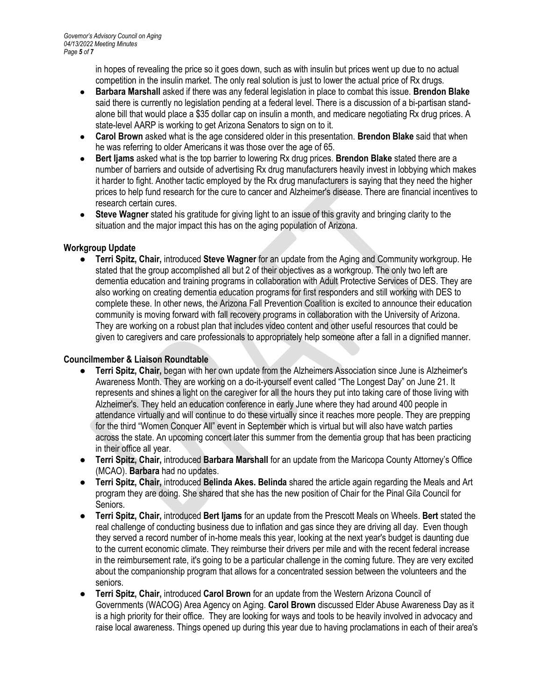in hopes of revealing the price so it goes down, such as with insulin but prices went up due to no actual competition in the insulin market. The only real solution is just to lower the actual price of Rx drugs.

- **Barbara Marshall** asked if there was any federal legislation in place to combat this issue. **Brendon Blake**  said there is currently no legislation pending at a federal level. There is a discussion of a bi-partisan standalone bill that would place a \$35 dollar cap on insulin a month, and medicare negotiating Rx drug prices. A state-level AARP is working to get Arizona Senators to sign on to it.
- **Carol Brown** asked what is the age considered older in this presentation. **Brendon Blake** said that when he was referring to older Americans it was those over the age of 65.
- **Bert Ijams** asked what is the top barrier to lowering Rx drug prices. **Brendon Blake** stated there are a number of barriers and outside of advertising Rx drug manufacturers heavily invest in lobbying which makes it harder to fight. Another tactic employed by the Rx drug manufacturers is saying that they need the higher prices to help fund research for the cure to cancer and Alzheimer's disease. There are financial incentives to research certain cures.
- **Steve Wagner** stated his gratitude for giving light to an issue of this gravity and bringing clarity to the situation and the major impact this has on the aging population of Arizona.

# **Workgroup Update**

● **Terri Spitz, Chair,** introduced **Steve Wagner** for an update from the Aging and Community workgroup. He stated that the group accomplished all but 2 of their objectives as a workgroup. The only two left are dementia education and training programs in collaboration with Adult Protective Services of DES. They are also working on creating dementia education programs for first responders and still working with DES to complete these. In other news, the Arizona Fall Prevention Coalition is excited to announce their education community is moving forward with fall recovery programs in collaboration with the University of Arizona. They are working on a robust plan that includes video content and other useful resources that could be given to caregivers and care professionals to appropriately help someone after a fall in a dignified manner.

# **Councilmember & Liaison Roundtable**

- **Terri Spitz, Chair,** began with her own update from the Alzheimers Association since June is Alzheimer's Awareness Month. They are working on a do-it-yourself event called "The Longest Day" on June 21. It represents and shines a light on the caregiver for all the hours they put into taking care of those living with Alzheimer's. They held an education conference in early June where they had around 400 people in attendance virtually and will continue to do these virtually since it reaches more people. They are prepping for the third "Women Conquer All" event in September which is virtual but will also have watch parties across the state. An upcoming concert later this summer from the dementia group that has been practicing in their office all year.
- **Terri Spitz, Chair,** introduced **Barbara Marshall** for an update from the Maricopa County Attorney's Office (MCAO). **Barbara** had no updates.
- **Terri Spitz, Chair,** introduced **Belinda Akes. Belinda** shared the article again regarding the Meals and Art program they are doing. She shared that she has the new position of Chair for the Pinal Gila Council for Seniors.
- **Terri Spitz, Chair,** introduced **Bert Ijams** for an update from the Prescott Meals on Wheels. **Bert** stated the real challenge of conducting business due to inflation and gas since they are driving all day. Even though they served a record number of in-home meals this year, looking at the next year's budget is daunting due to the current economic climate. They reimburse their drivers per mile and with the recent federal increase in the reimbursement rate, it's going to be a particular challenge in the coming future. They are very excited about the companionship program that allows for a concentrated session between the volunteers and the seniors.
- **Terri Spitz, Chair,** introduced **Carol Brown** for an update from the Western Arizona Council of Governments (WACOG) Area Agency on Aging. **Carol Brown** discussed Elder Abuse Awareness Day as it is a high priority for their office. They are looking for ways and tools to be heavily involved in advocacy and raise local awareness. Things opened up during this year due to having proclamations in each of their area's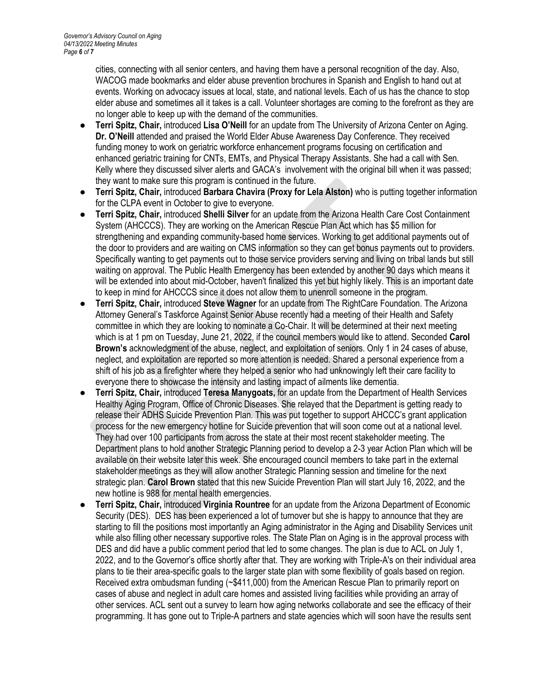cities, connecting with all senior centers, and having them have a personal recognition of the day. Also, WACOG made bookmarks and elder abuse prevention brochures in Spanish and English to hand out at events. Working on advocacy issues at local, state, and national levels. Each of us has the chance to stop elder abuse and sometimes all it takes is a call. Volunteer shortages are coming to the forefront as they are no longer able to keep up with the demand of the communities.

- **Terri Spitz, Chair,** introduced **Lisa O'Neill** for an update from The University of Arizona Center on Aging. **Dr. O'Neill** attended and praised the World Elder Abuse Awareness Day Conference. They received funding money to work on geriatric workforce enhancement programs focusing on certification and enhanced geriatric training for CNTs, EMTs, and Physical Therapy Assistants. She had a call with Sen. Kelly where they discussed silver alerts and GACA's involvement with the original bill when it was passed; they want to make sure this program is continued in the future.
- **Terri Spitz, Chair,** introduced **Barbara Chavira (Proxy for Lela Alston)** who is putting together information for the CLPA event in October to give to everyone.
- **Terri Spitz, Chair,** introduced **Shelli Silver** for an update from the Arizona Health Care Cost Containment System (AHCCCS). They are working on the American Rescue Plan Act which has \$5 million for strengthening and expanding community-based home services. Working to get additional payments out of the door to providers and are waiting on CMS information so they can get bonus payments out to providers. Specifically wanting to get payments out to those service providers serving and living on tribal lands but still waiting on approval. The Public Health Emergency has been extended by another 90 days which means it will be extended into about mid-October, haven't finalized this yet but highly likely. This is an important date to keep in mind for AHCCCS since it does not allow them to unenroll someone in the program.
- **Terri Spitz, Chair,** introduced **Steve Wagner** for an update from The RightCare Foundation. The Arizona Attorney General's Taskforce Against Senior Abuse recently had a meeting of their Health and Safety committee in which they are looking to nominate a Co-Chair. It will be determined at their next meeting which is at 1 pm on Tuesday, June 21, 2022, if the council members would like to attend. Seconded **Carol Brown's** acknowledgment of the abuse, neglect, and exploitation of seniors. Only 1 in 24 cases of abuse, neglect, and exploitation are reported so more attention is needed. Shared a personal experience from a shift of his job as a firefighter where they helped a senior who had unknowingly left their care facility to everyone there to showcase the intensity and lasting impact of ailments like dementia.
- **Terri Spitz, Chair,** introduced **Teresa Manygoats,** for an update from the Department of Health Services Healthy Aging Program, Office of Chronic Diseases. She relayed that the Department is getting ready to release their ADHS Suicide Prevention Plan. This was put together to support AHCCC's grant application process for the new emergency hotline for Suicide prevention that will soon come out at a national level. They had over 100 participants from across the state at their most recent stakeholder meeting. The Department plans to hold another Strategic Planning period to develop a 2-3 year Action Plan which will be available on their website later this week. She encouraged council members to take part in the external stakeholder meetings as they will allow another Strategic Planning session and timeline for the next strategic plan. **Carol Brown** stated that this new Suicide Prevention Plan will start July 16, 2022, and the new hotline is 988 for mental health emergencies.
- **Terri Spitz, Chair,** introduced **Virginia Rountree** for an update from the Arizona Department of Economic Security (DES). DES has been experienced a lot of turnover but she is happy to announce that they are starting to fill the positions most importantly an Aging administrator in the Aging and Disability Services unit while also filling other necessary supportive roles. The State Plan on Aging is in the approval process with DES and did have a public comment period that led to some changes. The plan is due to ACL on July 1, 2022, and to the Governor's office shortly after that. They are working with Triple-A's on their individual area plans to tie their area-specific goals to the larger state plan with some flexibility of goals based on region. Received extra ombudsman funding (~\$411,000) from the American Rescue Plan to primarily report on cases of abuse and neglect in adult care homes and assisted living facilities while providing an array of other services. ACL sent out a survey to learn how aging networks collaborate and see the efficacy of their programming. It has gone out to Triple-A partners and state agencies which will soon have the results sent